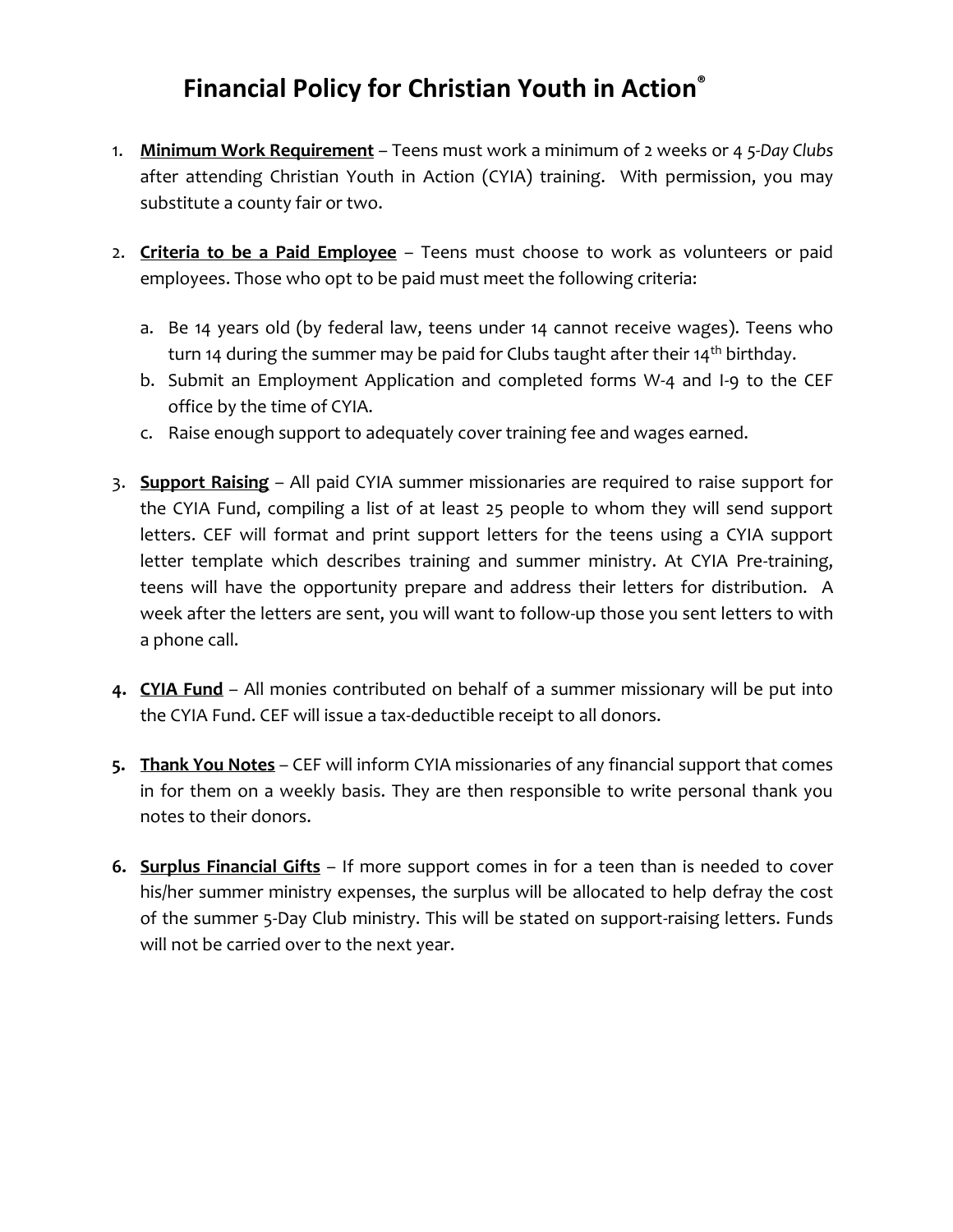## **Financial Policy for Christian Youth in Action ®**

- 1. **Minimum Work Requirement** Teens must work a minimum of 2 weeks or 4 *5-Day Clubs* after attending Christian Youth in Action (CYIA) training. With permission, you may substitute a county fair or two.
- 2. **Criteria to be a Paid Employee** Teens must choose to work as volunteers or paid employees. Those who opt to be paid must meet the following criteria:
	- a. Be 14 years old (by federal law, teens under 14 cannot receive wages). Teens who turn 14 during the summer may be paid for Clubs taught after their 14<sup>th</sup> birthday.
	- b. Submit an Employment Application and completed forms W-4 and I-9 to the CEF office by the time of CYIA.
	- c. Raise enough support to adequately cover training fee and wages earned.
- 3. **Support Raising** All paid CYIA summer missionaries are required to raise support for the CYIA Fund, compiling a list of at least 25 people to whom they will send support letters. CEF will format and print support letters for the teens using a CYIA support letter template which describes training and summer ministry. At CYIA Pre-training, teens will have the opportunity prepare and address their letters for distribution. A week after the letters are sent, you will want to follow-up those you sent letters to with a phone call.
- **4. CYIA Fund** All monies contributed on behalf of a summer missionary will be put into the CYIA Fund. CEF will issue a tax-deductible receipt to all donors.
- **5. Thank You Notes** CEF will inform CYIA missionaries of any financial support that comes in for them on a weekly basis. They are then responsible to write personal thank you notes to their donors.
- **6. Surplus Financial Gifts** If more support comes in for a teen than is needed to cover his/her summer ministry expenses, the surplus will be allocated to help defray the cost of the summer 5-Day Club ministry. This will be stated on support-raising letters. Funds will not be carried over to the next year.